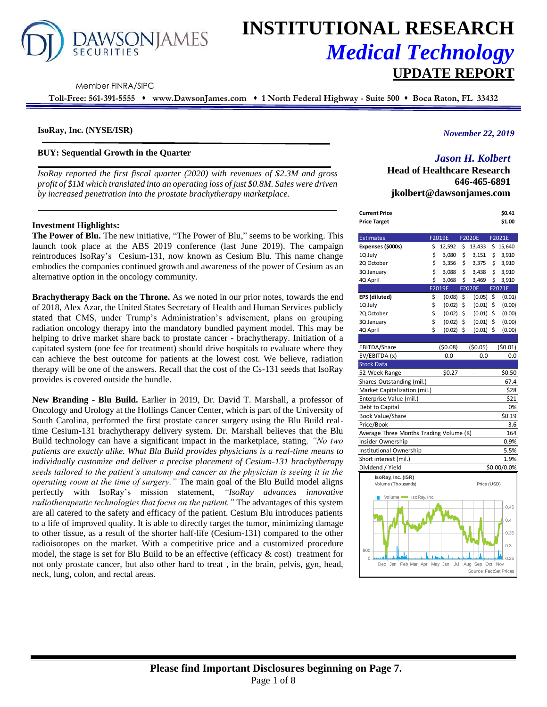

# **INSTITUTIONAL RESEARCH** *Medical Technology* **UPDATE REPORT**

Member FINRA/SIPC

**Toll-Free: 561-391-5555** ⬧ **www.DawsonJames.com** ⬧ **1 North Federal Highway - Suite 500** ⬧ **Boca Raton, FL 33432**

## **IsoRay, Inc. (NYSE/ISR)**

## **BUY: Sequential Growth in the Quarter**

*IsoRay reported the first fiscal quarter (2020) with revenues of \$2.3M and gross profit of \$1M which translated into an operating loss of just \$0.8M. Sales were driven by increased penetration into the prostate brachytherapy marketplace.* 

## **Investment Highlights:**

**The Power of Blu.** The new initiative, "The Power of Blu," seems to be working. This launch took place at the ABS 2019 conference (last June 2019). The campaign reintroduces IsoRay's Cesium-131, now known as Cesium Blu. This name change embodies the companies continued growth and awareness of the power of Cesium as an alternative option in the oncology community.

**Brachytherapy Back on the Throne.** As we noted in our prior notes, towards the end of 2018, Alex Azar, the United States Secretary of Health and Human Services publicly stated that CMS, under Trump's Administration's advisement, plans on grouping radiation oncology therapy into the mandatory bundled payment model. This may be helping to drive market share back to prostate cancer - brachytherapy. Initiation of a capitated system (one fee for treatment) should drive hospitals to evaluate where they can achieve the best outcome for patients at the lowest cost. We believe, radiation therapy will be one of the answers. Recall that the cost of the Cs-131 seeds that IsoRay provides is covered outside the bundle.

**New Branding - Blu Build.** Earlier in 2019, Dr. David T. Marshall, a professor of Oncology and Urology at the Hollings Cancer Center, which is part of the University of South Carolina, performed the first prostate cancer surgery using the Blu Build realtime Cesium-131 brachytherapy delivery system. Dr. Marshall believes that the Blu Build technology can have a significant impact in the marketplace, stating*, "No two patients are exactly alike. What Blu Build provides physicians is a real-time means to individually customize and deliver a precise placement of Cesium-131 brachytherapy seeds tailored to the patient's anatomy and cancer as the physician is seeing it in the operating room at the time of surgery."* The main goal of the Blu Build model aligns perfectly with IsoRay's mission statement, *"IsoRay advances innovative radiotherapeutic technologies that focus on the patient."* The advantages of this system are all catered to the safety and efficacy of the patient. Cesium Blu introduces patients to a life of improved quality. It is able to directly target the tumor, minimizing damage to other tissue, as a result of the shorter half-life (Cesium-131) compared to the other radioisotopes on the market. With a competitive price and a customized procedure model, the stage is set for Blu Build to be an effective (efficacy  $\&$  cost) treatment for not only prostate cancer, but also other hard to treat , in the brain, pelvis, gyn, head, neck, lung, colon, and rectal areas.

## *November 22, 2019*

# *Jason H. Kolbert*

**Head of Healthcare Research 646-465-6891 jkolbert@dawsonjames.com**

**Current Price \$0.41** 

| <b>Price Target</b>                     |    |                |                        | \$1.00       |
|-----------------------------------------|----|----------------|------------------------|--------------|
| <b>Estimates</b>                        |    | F2019E         | F2020E                 | F2021E       |
| Expenses (\$000s)                       | \$ | 12,592         | \$<br>13,433           | \$<br>15,640 |
| 1Q July                                 | \$ | 3,080          | \$<br>3,151            | \$<br>3,910  |
| 2Q October                              | \$ | 3,356          | \$<br>3,375            | \$<br>3,910  |
| 3Q January                              | \$ | 3,088          | \$<br>3,438            | \$<br>3,910  |
| 4Q April                                | \$ | 3,068          | \$<br>3,469            | \$<br>3,910  |
|                                         |    | F2019E         | <b>F2020E</b>          | F2021E       |
| EPS (diluted)                           | \$ | (0.08)         | \$<br>(0.05)           | \$<br>(0.01) |
| 1Q July                                 | \$ | (0.02)         | \$<br>(0.01)           | \$<br>(0.00) |
| 2Q October                              | \$ | (0.02)         | \$<br>(0.01)           | \$<br>(0.00) |
| 3Q January                              | \$ | (0.02)         | \$<br>(0.01)           | \$<br>(0.00) |
| 4Q April                                | Ś  | $(0.02)$ \$    | (0.01)                 | \$<br>(0.00) |
|                                         |    |                |                        |              |
| EBITDA/Share                            |    | (50.08)        | (50.05)                | (50.01)      |
| EV/EBITDA (x)                           |    | 0.0            | 0.0                    | 0.0          |
| <b>Stock Data</b>                       |    |                |                        |              |
| 52-Week Range                           |    | \$0.27         |                        | \$0.50       |
| Shares Outstanding (mil.)               |    |                |                        | 67.4         |
| Market Capitalization (mil.)            |    |                |                        | \$28         |
| Enterprise Value (mil.)                 |    |                |                        | \$21         |
| Debt to Capital                         |    |                |                        | 0%           |
| <b>Book Value/Share</b>                 |    |                |                        | \$0.19       |
| Price/Book                              |    |                |                        | 3.6          |
| Average Three Months Trading Volume (K) |    |                |                        | 164          |
| Insider Ownership                       |    |                |                        | 0.9%         |
| Institutional Ownership                 |    |                |                        | 5.5%         |
| Short interest (mil.)                   |    |                |                        | 1.9%         |
| Dividend / Yield                        |    |                |                        | \$0.00/0.0%  |
| IsoRay, Inc. (ISR)                      |    |                |                        |              |
| Volume (Thousands)                      |    |                | Price (USD)            |              |
| Volume so Ray, Inc.                     |    |                |                        |              |
|                                         |    |                |                        | 0.45         |
|                                         |    |                |                        |              |
|                                         |    |                |                        | 0.4          |
|                                         |    |                |                        | 0.35         |
|                                         |    |                |                        |              |
|                                         |    |                |                        | 0.3          |
| 800<br>$\Omega$ .                       |    |                |                        | G<br>0.25    |
| Feb Mar<br>Apr<br>Dec<br>Jan            |    | May Jun<br>Jul | Aug Sep Oct            | Nov          |
|                                         |    |                | Source: FactSet Prices |              |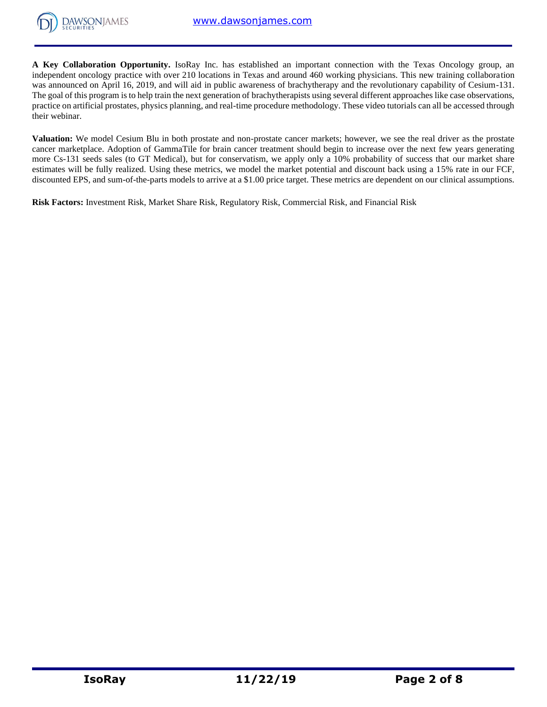

**A Key Collaboration Opportunity.** IsoRay Inc. has established an important connection with the Texas Oncology group, an independent oncology practice with over 210 locations in Texas and around 460 working physicians. This new training collaboration was announced on April 16, 2019, and will aid in public awareness of brachytherapy and the revolutionary capability of Cesium-131. The goal of this program is to help train the next generation of brachytherapists using several different approaches like case observations, practice on artificial prostates, physics planning, and real-time procedure methodology. These video tutorials can all be accessed through their webinar.

**Valuation:** We model Cesium Blu in both prostate and non-prostate cancer markets; however, we see the real driver as the prostate cancer marketplace. Adoption of GammaTile for brain cancer treatment should begin to increase over the next few years generating more Cs-131 seeds sales (to GT Medical), but for conservatism, we apply only a 10% probability of success that our market share estimates will be fully realized. Using these metrics, we model the market potential and discount back using a 15% rate in our FCF, discounted EPS, and sum-of-the-parts models to arrive at a \$1.00 price target. These metrics are dependent on our clinical assumptions.

**Risk Factors:** Investment Risk, Market Share Risk, Regulatory Risk, Commercial Risk, and Financial Risk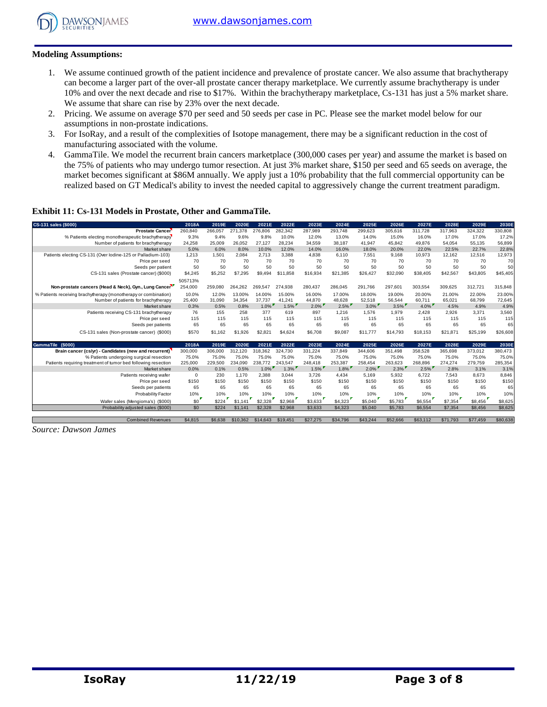

## **Modeling Assumptions:**

- 1. We assume continued growth of the patient incidence and prevalence of prostate cancer. We also assume that brachytherapy can become a larger part of the over-all prostate cancer therapy marketplace. We currently assume brachytherapy is under 10% and over the next decade and rise to \$17%. Within the brachytherapy marketplace, Cs-131 has just a 5% market share. We assume that share can rise by 23% over the next decade.
- 2. Pricing. We assume on average \$70 per seed and 50 seeds per case in PC. Please see the market model below for our assumptions in non-prostate indications.
- 3. For IsoRay, and a result of the complexities of Isotope management, there may be a significant reduction in the cost of manufacturing associated with the volume.
- 4. GammaTile. We model the recurrent brain cancers marketplace (300,000 cases per year) and assume the market is based on the 75% of patients who may undergo tumor resection. At just 3% market share, \$150 per seed and 65 seeds on average, the market becomes significant at \$86M annually. We apply just a 10% probability that the full commercial opportunity can be realized based on GT Medical's ability to invest the needed capital to aggressively change the current treatment paradigm.

## **Exhibit 11: Cs-131 Models in Prostate, Other and GammaTile.**

| CS-131 sales (\$000)                                            | 2018A      | 2019E   | 2020E    | 2021E    | 2022E    | 2023E    | 2024E    | 2025E    | 2026E    | 2027E    | 2028E    | 2029E    | 2030E    |
|-----------------------------------------------------------------|------------|---------|----------|----------|----------|----------|----------|----------|----------|----------|----------|----------|----------|
| <b>Prostate Cancer</b>                                          | 260,840    | 266,057 | 271,378  | 276,806  | 282,342  | 287,989  | 293,748  | 299,623  | 305,616  | 311,728  | 317,963  | 324,322  | 330,808  |
| % Patients electing monotherapeutic brachytherapy               | 9.3%       | 9.4%    | 9.6%     | 9.8%     | 10.0%    | 12.0%    | 13.0%    | 14.0%    | 15.0%    | 16.0%    | 17.0%    | 17.0%    | 17.2%    |
| Number of patients for brachytherapy                            | 24,258     | 25,009  | 26.052   | 27.127   | 28,234   | 34,559   | 38.187   | 41,947   | 45,842   | 49.876   | 54,054   | 55,135   | 56,899   |
| Market share                                                    | 5.0%       | 6.0%    | 8.0%     | 10.0%    | 12.0%    | 14.0%    | 16.0%    | 18.0%    | 20.0%    | 22.0%    | 22.5%    | 22.7%    | 22.8%    |
| Patients electing CS-131 (Over lodine-125 or Palladium-103)     | 1,213      | 1.501   | 2,084    | 2,713    | 3,388    | 4,838    | 6,110    | 7,551    | 9,168    | 10,973   | 12,162   | 12,516   | 12,973   |
| Price per seed                                                  | 70         | 70      | 70       | 70       | 70       | 70       | 70       | 70       | 70       | 70       | 70       | 70       | 70       |
| Seeds per patient                                               | 50         | 50      | 50       | 50       | 50       | 50       | 50       | 50       | 50       | 50       | 50       | 50       | 50       |
| CS-131 sales (Prostate cancer) (\$000)                          | \$4,245    | \$5,252 | \$7,295  | \$9,494  | \$11,858 | \$16,934 | \$21,385 | \$26,427 | \$32,090 | \$38,405 | \$42,567 | \$43,805 | \$45,405 |
|                                                                 | 505713%    |         |          |          |          |          |          |          |          |          |          |          |          |
| Non-prostate cancers (Head & Neck), Gyn., Lung Cancer           | 254,000    | 259.080 | 264,262  | 269.547  | 274,938  | 280,437  | 286,045  | 291.766  | 297,601  | 303,554  | 309,625  | 312.721  | 315,848  |
| % Patients receiving brachytherapy (monotherapy or combination) | 10.0%      | 12.0%   | 13.00%   | 14.00%   | 15.00%   | 16.00%   | 17.00%   | 18.00%   | 19.00%   | 20.00%   | 21.00%   | 22.00%   | 23.00%   |
| Number of patients for brachytherapy                            | 25,400     | 31.090  | 34.354   | 37.737   | 41.241   | 44.870   | 48.628   | 52,518   | 56.544   | 60.711   | 65.021   | 68.799   | 72,645   |
| Market share                                                    | 0.3%       | 0.5%    | 0.8%     | $1.0\%$  | 1.5%     | $2.0\%$  | $2.5\%$  | $3.0\%$  | $3.5\%$  | $4.0\%$  | 4.5%     | 4.9%     | 4.9%     |
| Patients receiving CS-131 brachytherapy                         | 76         | 155     | 258      | 377      | 619      | 897      | 1.216    | 1.576    | 1,979    | 2.428    | 2.926    | 3.371    | 3,560    |
| Price per seed                                                  | 115        | 115     | 115      | 115      | 115      | 115      | 115      | 115      | 115      | 115      | 115      | 115      | 115      |
| Seeds per patients                                              | 65         | 65      | 65       | 65       | 65       | 65       | 65       | 65       | 65       | 65       | 65       | 65       | 65       |
| CS-131 sales (Non-prostate cancer) (\$000)                      | \$570      | \$1.162 | \$1,926  | \$2,821  | \$4,624  | \$6,708  | \$9,087  | \$11,777 | \$14,793 | \$18,153 | \$21.871 | \$25,199 | \$26,608 |
|                                                                 |            |         |          |          |          |          |          |          |          |          |          |          |          |
| (S000)<br><b>GammaTile</b>                                      | 2018A      | 2019E   | 2020E    | 2021E    | 2022E    | 2023E    | 2024E    | 2025E    | 2026E    | 2027E    | 2028E    | 2029E    | 2030E    |
| Brain cancer (cs/yr) - Candidates (new and recurrent)           | 300,000    | 306,000 | 312,120  | 318,362  | 324.730  | 331,224  | 337,849  | 344,606  | 351,498  | 358,528  | 365,698  | 373,012  | 380,473  |
| % Patients undergoing surgical resection                        | 75.0%      | 75.0%   | 75.0%    | 75.0%    | 75.0%    | 75.0%    | 75.0%    | 75.0%    | 75.0%    | 75.0%    | 75.0%    | 75.0%    | 75.0%    |
| Patients requiring treatment of tumor bed following resection   | 225,000    | 229,500 | 234.090  | 238,772  | 243.547  | 248.418  | 253.387  | 258.454  | 263.623  | 268.896  | 274.274  | 279.759  | 285,354  |
| Market share                                                    | 0.0%       | 0.1%    | 0.5%     | $1.0\%$  | $1.3\%$  | $1.5\%$  | $1.8\%$  | $2.0\%$  | $2.3\%$  | $2.5\%$  | 2.8%     | 3.1%     | 3.1%     |
| Patients receiving wafer                                        | $^{\circ}$ | 230     | 1.170    | 2,388    | 3,044    | 3,726    | 4.434    | 5,169    | 5,932    | 6,722    | 7.543    | 8.673    | 8,846    |
| Price per seed                                                  | \$150      | \$150   | \$150    | \$150    | \$150    | \$150    | \$150    | \$150    | \$150    | \$150    | \$150    | \$150    | \$150    |
| Seeds per patients                                              | 65         | 65      | 65       | 65       | 65       | 65       | 65       | 65       | 65       | 65       | 65       | 65       | 65       |
| <b>Probability Factor</b>                                       | 10%        | 10%     | 10%      | 10%      | 10%      | 10%      | 10%      | 10%      | 10%      | 10%      | 10%      | 10%      | 10%      |
| Wafer sales (Mengioma's) (\$000)                                | \$0        | \$224   | \$1,141  | \$2,328  | \$2,968  | \$3,633  | \$4,323  | \$5,040  | \$5,783  | \$6,554  | \$7,354  | \$8,456  | \$8,625  |
| Probability adjusted sales (\$000)                              | \$0        | \$224   | \$1,141  | \$2,328  | \$2,968  | \$3,633  | \$4,323  | \$5,040  | \$5,783  | \$6,554  | \$7,354  | \$8,456  | \$8,625  |
|                                                                 |            |         |          |          |          |          |          |          |          |          |          |          |          |
| <b>Combined Revenues</b>                                        | \$4,815    | \$6,638 | \$10,362 | \$14,643 | \$19,451 | \$27,275 | \$34,796 | \$43,244 | \$52,666 | \$63,112 | \$71,793 | \$77.459 | \$80,638 |

*Source: Dawson James*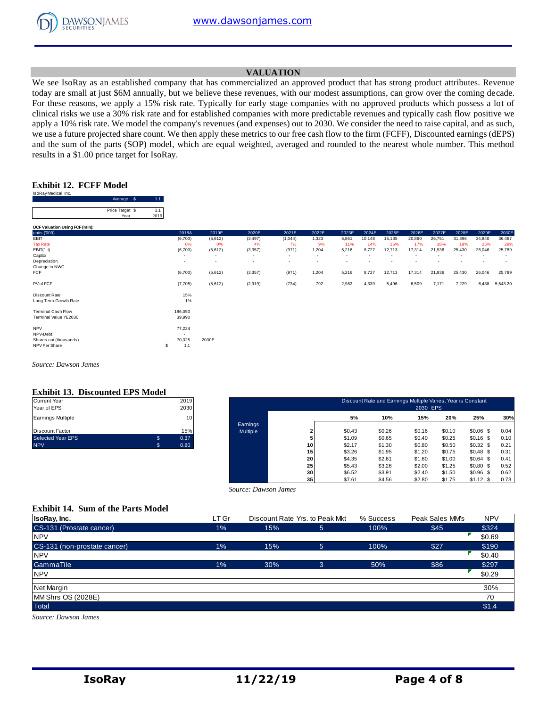

## **VALUATION**

We see IsoRay as an established company that has commercialized an approved product that has strong product attributes. Revenue today are small at just \$6M annually, but we believe these revenues, with our modest assumptions, can grow over the coming decade. For these reasons, we apply a 15% risk rate. Typically for early stage companies with no approved products which possess a lot of clinical risks we use a 30% risk rate and for established companies with more predictable revenues and typically cash flow positive we apply a 10% risk rate. We model the company's revenues (and expenses) out to 2030. We consider the need to raise capital, and as such, we use a future projected share count. We then apply these metrics to our free cash flow to the firm (FCFF), Discounted earnings (dEPS) and the sum of the parts (SOP) model, which are equal weighted, averaged and rounded to the nearest whole number. This method results in a \$1.00 price target for IsoRay.

## **Exhibit 12. FCFF Model**

| IsoRay Medical, Inc.           |                         |   |             |                   |
|--------------------------------|-------------------------|---|-------------|-------------------|
|                                | Average                 | S | 1.1         |                   |
|                                | Price Target \$<br>Year |   | 1.1<br>2019 |                   |
| DCF Valuation Using FCF (mln): |                         |   |             |                   |
| units ('000)                   |                         |   |             | $\overline{a}$    |
| EBIT                           |                         |   |             | (6)               |
| <b>Tax Rate</b>                |                         |   |             |                   |
| $EBIT(1-t)$                    |                         |   |             | (6)               |
| CapEx                          |                         |   |             |                   |
| Depreciation                   |                         |   |             |                   |
| Change in NWC                  |                         |   |             |                   |
|                                |                         |   |             | <b>STATISTICS</b> |

|                                                    | Average \$              | 1.1         |                                     |                                     |                                      |                                   |                                   |                                   |               |               |               |               |               |               |               |
|----------------------------------------------------|-------------------------|-------------|-------------------------------------|-------------------------------------|--------------------------------------|-----------------------------------|-----------------------------------|-----------------------------------|---------------|---------------|---------------|---------------|---------------|---------------|---------------|
|                                                    | Price Target \$<br>Year | 1.1<br>2019 |                                     |                                     |                                      |                                   |                                   |                                   |               |               |               |               |               |               |               |
| DCF Valuation Using FCF (mln):                     |                         |             |                                     |                                     |                                      |                                   |                                   |                                   |               |               |               |               |               |               |               |
| units ('000)                                       |                         |             | 2018A                               | 2019E                               | 2020E                                | 2021E                             | 2022E                             | 2023E                             | 2024E         | 2025E         | 2026E         | 2027E         | 2028E         | 2029E         | 2030E         |
| EBIT<br><b>Tax Rate</b>                            |                         |             | (6,700)<br>0%                       | (5,612)<br>0%                       | (3, 497)<br>4%                       | (1,044)<br>7%                     | 1,323<br>9%                       | 5,861<br>11%                      | 10,148<br>14% | 15,135<br>16% | 20,860<br>17% | 26,751<br>18% | 31,396<br>19% | 34,840<br>25% | 36,467<br>29% |
| $EBIT(1-t)$<br>CapEx                               |                         |             | (6,700)<br>$\overline{\phantom{a}}$ | (5,612)<br>$\overline{\phantom{a}}$ | (3, 357)<br>$\overline{\phantom{a}}$ | (971)<br>$\overline{\phantom{a}}$ | 1,204<br>$\overline{\phantom{a}}$ | 5,216<br>$\overline{\phantom{a}}$ | 8,727         | 12,713        | 17,314        | 21,936        | 25,430        | 26,046        | 25,789        |
| Depreciation<br>Change in NWC                      |                         |             |                                     | $\overline{\phantom{a}}$            | ۰                                    | $\overline{\phantom{a}}$          | $\overline{\phantom{a}}$          | $\overline{\phantom{a}}$          | ٠             |               |               |               |               |               |               |
| FCF                                                |                         |             | (6,700)                             | (5,612)                             | (3, 357)                             | (971)                             | 1,204                             | 5,216                             | 8,727         | 12,713        | 17,314        | 21,936        | 25,430        | 26,046        | 25,789        |
| PV of FCF                                          |                         |             | (7,705)                             | (5,612)                             | (2,919)                              | (734)                             | 792                               | 2,982                             | 4,339         | 5,496         | 6,509         | 7,171         | 7,229         | 6,438         | 5,543.20      |
| Discount Rate<br>Long Term Growth Rate             |                         |             | 15%<br>1%                           |                                     |                                      |                                   |                                   |                                   |               |               |               |               |               |               |               |
| <b>Terminal Cash Flow</b><br>Terminal Value YE2030 |                         |             | 186,050<br>39,990                   |                                     |                                      |                                   |                                   |                                   |               |               |               |               |               |               |               |
| <b>NPV</b><br>NPV-Debt                             |                         |             | 77,224                              |                                     |                                      |                                   |                                   |                                   |               |               |               |               |               |               |               |
| Shares out (thousands)                             |                         |             | 70,325                              | 2030E                               |                                      |                                   |                                   |                                   |               |               |               |               |               |               |               |

*Source: Dawson James*

#### **Exhibit 13. Discounted EPS Model**

| <b>Current Year</b>      |     | 2019 |
|--------------------------|-----|------|
| Year of EPS              |     | 2030 |
| <b>Earnings Multiple</b> |     | 10   |
| <b>Discount Factor</b>   |     | 15%  |
| <b>Selected Year EPS</b> | \$  | 0.37 |
| <b>NPV</b>               | \$. | 0.80 |

shares out (thousands) 70,325 2030E<br>NPV Per Share (thousands) 70,325 2030E NPV Per Share \$ 1.1

| Current Year<br>Year of EPS |              | 2019<br>2030 |          |                 |        | Discount Rate and Earnings Multiple Varies, Year is Constant | 2030 EPS |        |             |      |
|-----------------------------|--------------|--------------|----------|-----------------|--------|--------------------------------------------------------------|----------|--------|-------------|------|
| Earnings Multiple           |              | 10           |          |                 | 5%     | 10%                                                          | 15%      | 20%    | 25%         | 30%  |
|                             |              |              | Earnings |                 |        |                                                              |          |        |             |      |
| Discount Factor             |              | 15%          | Multiple |                 | \$0.43 | \$0.26                                                       | \$0.16   | \$0.10 | $$0.06$$ \$ | 0.04 |
| Selected Year EPS           | $\mathbb{S}$ | 0.37         |          |                 | \$1.09 | \$0.65                                                       | \$0.40   | \$0.25 | $$0.16$ \$  | 0.10 |
| <b>NPV</b>                  | .S           | 0.80         |          | 10              | \$2.17 | \$1.30                                                       | \$0.80   | \$0.50 | \$0.32\$    | 0.21 |
|                             |              |              |          | 15              | \$3.26 | \$1.95                                                       | \$1.20   | \$0.75 | \$0.48\$    | 0.31 |
|                             |              |              |          | 20              | \$4.35 | \$2.61                                                       | \$1.60   | \$1.00 | \$0.64\$    | 0.41 |
|                             |              |              |          | 25              | \$5.43 | \$3.26                                                       | \$2.00   | \$1.25 | $$0.80$$ \$ | 0.52 |
|                             |              |              |          | 30              | \$6.52 | \$3.91                                                       | \$2.40   | \$1.50 | $$0.96$ \$  | 0.62 |
|                             |              |              |          | 35 <sub>1</sub> | \$7.61 | \$4.56                                                       | \$2.80   | \$1.75 | $$1.12$ \$  | 0.73 |

#### **Exhibit 14. Sum of the Parts Model**

|                                           |       |                      | -- 1                           | .         | -----<br>.      | $  -$<br>$ -$ |
|-------------------------------------------|-------|----------------------|--------------------------------|-----------|-----------------|---------------|
|                                           |       | Source: Dawson James |                                |           |                 |               |
| <b>Exhibit 14. Sum of the Parts Model</b> |       |                      |                                |           |                 |               |
| IsoRay, Inc.                              | LT Gr |                      | Discount Rate Yrs. to Peak Mkt | % Success | Peak Sales MM's | <b>NPV</b>    |
| CS-131 (Prostate cancer)                  | $1\%$ | 15%                  | 5.                             | 100%      | \$45            | \$324         |
| <b>NPV</b>                                |       |                      |                                |           |                 | \$0.69        |
| CS-131 (non-prostate cancer)              | $1\%$ | 15%                  | $5^{\circ}$                    | 100%      | \$27            | \$190         |
| <b>NPV</b>                                |       |                      |                                |           |                 | \$0.40        |
| GammaTile                                 | $1\%$ | 30%                  | 3                              | 50%       | \$86            | \$297         |
| <b>NPV</b>                                |       |                      |                                |           |                 | \$0.29        |
| Net Margin                                |       |                      |                                |           |                 | 30%           |
| MM Shrs OS (2028E)                        |       |                      |                                |           |                 | 70            |
| <b>Total</b>                              |       |                      |                                |           |                 | \$1.4         |

*Source: Dawson James*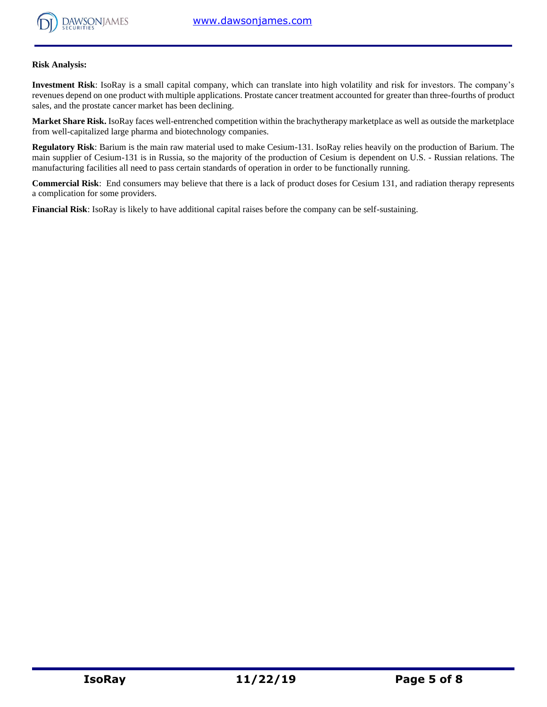

## **Risk Analysis:**

**Investment Risk**: IsoRay is a small capital company, which can translate into high volatility and risk for investors. The company's revenues depend on one product with multiple applications. Prostate cancer treatment accounted for greater than three-fourths of product sales, and the prostate cancer market has been declining.

**Market Share Risk.** IsoRay faces well-entrenched competition within the brachytherapy marketplace as well as outside the marketplace from well-capitalized large pharma and biotechnology companies.

**Regulatory Risk**: Barium is the main raw material used to make Cesium-131. IsoRay relies heavily on the production of Barium. The main supplier of Cesium-131 is in Russia, so the majority of the production of Cesium is dependent on U.S. - Russian relations. The manufacturing facilities all need to pass certain standards of operation in order to be functionally running.

**Commercial Risk**: End consumers may believe that there is a lack of product doses for Cesium 131, and radiation therapy represents a complication for some providers.

**Financial Risk**: IsoRay is likely to have additional capital raises before the company can be self-sustaining.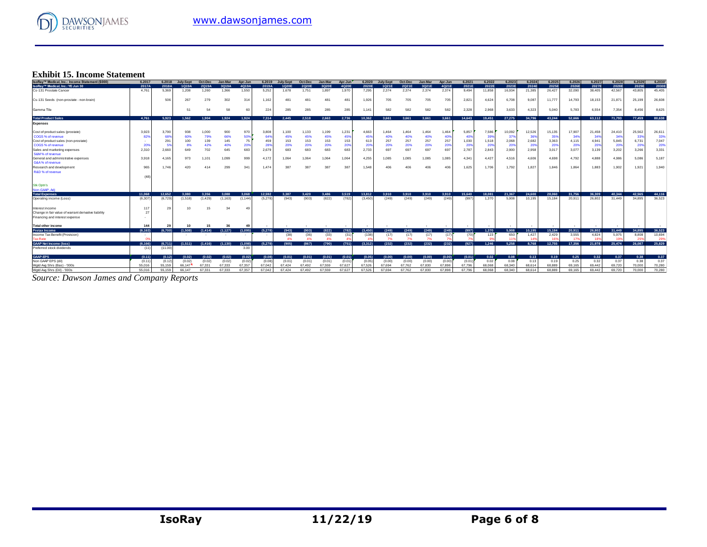

# **Exhibit 15. Income Statement**

| <b>Exhibit 15. Income Statement</b>                  |         |         |           |         |          |           |         |           |         |         |         |         |           |         |         |         |        |        |        |        |        |        |        |        |        |        |
|------------------------------------------------------|---------|---------|-----------|---------|----------|-----------|---------|-----------|---------|---------|---------|---------|-----------|---------|---------|---------|--------|--------|--------|--------|--------|--------|--------|--------|--------|--------|
| IsoRay™ Medical, Inc.: Income Statement (\$000)      | 6.2017  | 6,2018  | July-Sept | Oct-Dec | Jan-Mar  | Apr-Jun   | 6.2019  | July-Sept | Oct-Dec | Jan-Mar | Apr-Jun | 6.2020  | July-Sept | Oct-Dec | Jan-Mar | Apr-Jun | 6.2021 | 6.2022 | 6.2023 | 6.2024 | 6.2025 | 6.2026 | 6.2027 | 6.2028 | 6.2029 | 6.2030 |
| IsoRay™ Medical, Inc.: YE Jun 30                     | 2017A   | 2018A   | 1Q19A     | 2Q19A   | 3Q19A    | 4Q19A     | 2019A   | 1Q20E     | 2Q20E   | 3Q20E   | 4Q20E   | 2020E   | 1Q21E     | 2Q21E   | 3Q21E   | 4Q21E   | 2021E  | 2022E  | 2023E  | 2024E  | 2025E  | 2026E  | 2027E  | 2028E  | 2029E  | 2030E  |
| Cs-131 Prostate Cancer                               | 4.761   | 5,369   | 1,208     | 1,260   | 1,366    | 1,550     | 5,252   | 1,678     | 1,751   | 1,897   | 1,970   | 7,295   | 2.374     | 2,374   | 2,374   | 2,374   | 9,494  | 11,858 | 16,934 | 21,385 | 26,427 | 32,090 | 38,405 | 42,567 | 43,805 | 45,405 |
| Cs-131 Seeds (non-prostate - non-brain)              |         | 506     | 267       | 279     | 302      | 314       | 1,162   | 481       | 481     | 481     | 481     | 1,926   | 705       | 705     | 705     | 705     | 2,821  | 4,624  | 6,708  | 9,087  | 11,777 | 14,793 | 18,153 | 21,871 | 25,199 | 26,608 |
| Gamma Tile                                           |         |         | 51        | 54      | 58       | 60        | 224     | 285       | 285     | 285     | 285     | 1.141   | 582       | 582     | 582     | 582     | 2,328  | 2,968  | 3,633  | 4,323  | 5,040  | 5,783  | 6,554  | 7,354  | 8.456  | 8,625  |
| <b>Total Product Sales</b>                           | 4.761   | 5.923   | 1.562     | 1.904   | 1.924    | 1.924     | 7.314   | 2.445     | 2.518   | 2.663   | 2.736   | 10.362  | 3.661     | 3.661   | 3.661   | 3.661   | 14.643 | 19,451 | 27,275 | 34,796 | 43,244 | 52,666 | 63,112 | 71,793 | 77,459 | 80,638 |
| <b>Expenses</b>                                      |         |         |           |         |          |           |         |           |         |         |         |         |           |         |         |         |        |        |        |        |        |        |        |        |        |        |
| Cost of product sales (prostate)                     | 3,923   | 3,790   | 938       | 1,000   | 900      | 970       | 3,808   | 1,100     | 1,133   | 1,199   | 1,231   | 4,663   | 1,464     | 1,464   | 1,464   | 1,464   | 5,857  | 7,586  | 10,092 | 12,526 | 15,135 | 17,907 | 21,458 | 24,410 | 25,562 | 26,61  |
| COGS % of revenue                                    | 82%     | 68%     | 60%       | 79%     | 66%      | 50%       | 64%     | 45%       | 45%     | 45%     | 45%     | 45%     | 40%       | 40%     | 40%     | 40      | 409    | 39%    | 37%    | 36%    | 35%    | 34'    | 34'    | 349    | 339    | 33%    |
| Cost of product sales (non-prostate)                 |         | 291     | 100       | 139     | 145      | 75        | 459     | 153       | 153     | 153     | 153     | 613     | 257       | 257     | 257     | 257     | 1,030  | 1,518  | 2,068  | 2,682  | 3,363  | 4,115  | 4,941  | 5,845  | 6,731  | 7,047  |
| COGS % of revenue                                    | 20%     |         | 8%        | 42%     | 40%      | 209       | 28%     | 20%       | 20%     | 20%     | 20%     | 20%     | 20%       | 20%     | 20%     | 20%     | 209    | 20%    | 20%    | 20%    | 20%    | 20%    | 20%    | 20%    | 20%    | 20%    |
| Sales and marketing expenses                         | 2.310   | 2.660   | 649       | 702     | 645      | 683       | 2.679   | 683       | 683     | 683     | 683     | 2.733   | 697       | 697     | 697     | 697     | 2.787  | 2,843  | 2.900  | 2,958  | 3.017  | 3.077  | 3.139  | 3,202  | 3.266  | 3,331  |
| S&M% of revenue                                      |         |         |           |         |          |           |         |           |         |         |         |         |           |         |         |         |        |        |        |        |        |        |        |        |        |        |
| General and administrative expenses                  | 3.918   | 4.165   | 973       | 1,101   | 1,099    | 999       | 4.172   | 1.064     | 1,064   | 1,064   | 1,064   | 4,255   | 1,085     | 1.085   | 1,085   | 1,085   | 4.341  | 4,427  | 4,516  | 4,606  | 4,698  | 4,792  | 4.888  | 4,986  | 5.086  | 5,187  |
| G&A % of revenue                                     |         |         |           |         |          |           |         |           |         |         |         |         |           |         |         |         |        |        |        |        |        |        |        |        |        |        |
| Research and development                             | 965     | 1.746   | 420       | 414     | 299      | 341       | 1,474   | 387       | 387     | 387     | 387     | 1.548   | 406       | 406     | 406     | 406     | 1,625  | 1,706  | 1,792  | 1,827  | 1,846  | 1,864  | 1,883  | 1,902  | 1,921  | 1,940  |
| R&D % of revenue                                     |         |         |           |         |          |           |         |           |         |         |         |         |           |         |         |         |        |        |        |        |        |        |        |        |        |        |
|                                                      | (48)    |         |           |         |          |           |         |           |         |         |         |         |           |         |         |         |        |        |        |        |        |        |        |        |        |        |
| <b>Stk Optn's</b>                                    |         |         |           |         |          |           |         |           |         |         |         |         |           |         |         |         |        |        |        |        |        |        |        |        |        |        |
| Non-GAAP, Adi                                        |         |         |           |         |          |           |         |           |         |         |         |         |           |         |         |         |        |        |        |        |        |        |        |        |        |        |
| <b>Total Expenses</b>                                | 11.068  | 12.652  | 3.080     | 3.356   | 3.088    | 3.068     | 12.592  | 3.387     | 3.420   | 3,486   | 3.519   | 13,812  | 3.910     | 3.910   | 3.910   | 3.910   | 15,640 | 18.081 | 21.367 | 24,600 | 28,060 | 31.756 | 36,309 | 40.344 | 42.565 | 44.116 |
| Operating income (Loss)                              | (6.307) | (6.729) | (1,518)   | (1,429) | (1, 163) | (1, 144)  | (5,278) | (943)     | (903)   | (822)   | (782)   | (3.450) | (249)     | (249)   | (249)   | (249)   | (997)  | 1,370  | 5.908  | 10,195 | 15.184 | 20,911 | 26.802 | 31,449 | 34.895 | 36,523 |
| Interest income                                      | 11'     | 29      |           | 15      | 34       | 49        |         |           |         |         |         |         |           |         |         |         |        |        |        |        |        |        |        |        |        |        |
| Change in fair value of warrant derivative liability | 27      |         |           |         |          |           |         |           |         |         |         |         |           |         |         |         |        |        |        |        |        |        |        |        |        |        |
| Financing and interest expense                       |         |         |           |         |          |           |         |           |         |         |         |         |           |         |         |         |        |        |        |        |        |        |        |        |        |        |
| <b>Total other income</b>                            | 144     | 29      | 10        | 15      | 36       | $\Lambda$ |         |           |         |         |         |         |           |         |         |         |        |        |        |        |        |        |        |        |        |        |
| <b>Pretax Income</b>                                 | (6.163) | (6.700) | (1.508)   | (1.414) | (1, 127) | (1,095)   | (5,278) | (943)     | (903)   | (822)   | (782)   | (3.450) | (249)     | (249)   | (249)   | (249)   | (997)  | 1.370  | 5.908  | 10.195 | 15.184 | 20.911 | 26,802 | 31,449 | 34.895 | 36,523 |
| Income Tax Benefit (Provision)                       |         |         |           |         | $\sim$   | $\sim$    | ٠.      | (38)      | (36)    | (33)    | (31)    | (138)   | (17)      | (17)    | (17)    | (17)    | (70)   | 123    | 650    | 1,427  | 2.429  | 3.555  | 4.824  | 5.975  | 8,808  | 10,694 |
| <b>Tax Rate</b>                                      |         |         |           |         |          |           |         | 4%        | 4%      | 4%      |         |         | 7%        |         | 7%      |         |        |        |        | 14'    | 169    | - 45   |        |        |        | 29%    |
| <b>GAAP Net Income (loss)</b>                        | (6.166) | (6,711) | (1.511)   | (1,416) | (1.130)  | (1.098)   | (5.278) | (905)     | (867)   | (790)   | (751)   | (3.312) | (232)     | (232)   | (232)   | (232)   | (927)  | 1.246  | 5.258  | 8.768  | 12.755 | 17.356 | 21.978 | 25,474 | 26,087 | 25.829 |
| Preferred stock dividends                            | (11)    | (11.00) |           |         |          | 3.00      |         |           |         |         |         |         |           |         |         |         |        |        |        |        |        |        |        |        |        |        |
| GAAP-EPS                                             | (0.11)  | (0.12)  | (0.02)    | (0.02)  | (0.02)   | (0.02)    | (0.08)  | (0.01)    | (0.01)  | (0.01)  | (0.01)  | (0.05)  | (0.00)    | (0.00)  | (0.00)  | (0.00)  | (0.01) | 0.02   | 0.08   | 0.13   | 0.19   | 0.25   | 0.32   | 0.37   | 0.38   | 0.37   |
| Non GAAP EPS (dil)                                   | (0.11)  | (0.12)  | (0.02)    | (0.02)  | (0.02)   | (0.02)    | (0.08)  | (0.01)    | (0.01)  | (0.01)  | (0.01)  | (0.05)  | (0.00)    | (0.00)  | (0.00)  | (0.00)  | (0.01) | 0.02   | 0.08   | 0.13   | 0.19   | 0.25   | 0.32   | 0.37   | 0.38   | 0.37   |
| Wgtd Avg Shrs (Bas) - '000s                          | 55.016  | 55.159  | 66.147    | 67.331  | 67.333   | 67.357    | 67.042  | 67.424    | 67.492  | 67.559  | 67.627  | 67.526  | 67.694    | 67.762  | 67,830  | 67,898  | 67.796 | 68,068 | 68,340 | 68,614 | 68,889 | 69.165 | 69.442 | 69.720 | 70,000 | 70,280 |
| Wgtd Avg Shrs (Dil) - '000s                          | 55.016  | 55.159  | 66.147    | 67,331  | 67.333   | 67.357    | 67.042  | 67.424    | 67.492  | 67,559  | 67.627  | 67.526  | 67.694    | 67.762  | 67,830  | 67,898  | 67.796 | 68,068 | 68,340 | 68,614 | 68,889 | 69.165 | 69.442 | 69.720 | 70,000 | 70.280 |

*Source: Dawson James and Company Reports*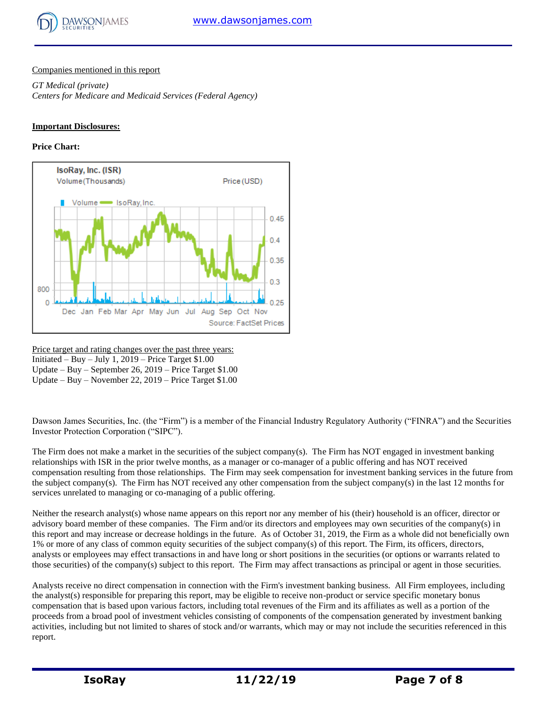

## Companies mentioned in this report

*GT Medical (private) Centers for Medicare and Medicaid Services (Federal Agency)*

## **Important Disclosures:**

## **Price Chart:**



Price target and rating changes over the past three years: Initiated – Buy – July 1,  $2019$  – Price Target \$1.00 Update – Buy – September 26, 2019 – Price Target \$1.00 Update – Buy – November 22, 2019 – Price Target \$1.00

Dawson James Securities, Inc. (the "Firm") is a member of the Financial Industry Regulatory Authority ("FINRA") and the Securities Investor Protection Corporation ("SIPC").

The Firm does not make a market in the securities of the subject company(s). The Firm has NOT engaged in investment banking relationships with ISR in the prior twelve months, as a manager or co-manager of a public offering and has NOT received compensation resulting from those relationships. The Firm may seek compensation for investment banking services in the future from the subject company(s). The Firm has NOT received any other compensation from the subject company(s) in the last 12 months for services unrelated to managing or co-managing of a public offering.

Neither the research analyst(s) whose name appears on this report nor any member of his (their) household is an officer, director or advisory board member of these companies. The Firm and/or its directors and employees may own securities of the company(s) in this report and may increase or decrease holdings in the future. As of October 31, 2019, the Firm as a whole did not beneficially own 1% or more of any class of common equity securities of the subject company(s) of this report. The Firm, its officers, directors, analysts or employees may effect transactions in and have long or short positions in the securities (or options or warrants related to those securities) of the company(s) subject to this report. The Firm may affect transactions as principal or agent in those securities.

Analysts receive no direct compensation in connection with the Firm's investment banking business. All Firm employees, including the analyst(s) responsible for preparing this report, may be eligible to receive non-product or service specific monetary bonus compensation that is based upon various factors, including total revenues of the Firm and its affiliates as well as a portion of the proceeds from a broad pool of investment vehicles consisting of components of the compensation generated by investment banking activities, including but not limited to shares of stock and/or warrants, which may or may not include the securities referenced in this report.